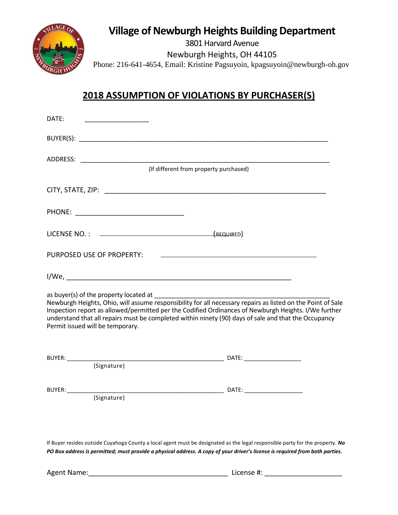

## **Village of Newburgh Heights Building Department**

3801 Harvard Avenue

Newburgh Heights, OH 44105

Phone: 216-641-4654, Email: Kristine Pagsuyoin, kpagsuyoin@newburgh-oh.gov

## **2018 ASSUMPTION OF VIOLATIONS BY PURCHASER(S)**

| DATE:                                                                                                                                                                                                                                                                                                                                                           |  |
|-----------------------------------------------------------------------------------------------------------------------------------------------------------------------------------------------------------------------------------------------------------------------------------------------------------------------------------------------------------------|--|
|                                                                                                                                                                                                                                                                                                                                                                 |  |
| (If different from property purchased)                                                                                                                                                                                                                                                                                                                          |  |
|                                                                                                                                                                                                                                                                                                                                                                 |  |
|                                                                                                                                                                                                                                                                                                                                                                 |  |
|                                                                                                                                                                                                                                                                                                                                                                 |  |
|                                                                                                                                                                                                                                                                                                                                                                 |  |
| PURPOSED USE OF PROPERTY: The annual contract of the set of the set of the set of the set of the set of the set of the set of the set of the set of the set of the set of the set of the set of the set of the set of the set                                                                                                                                   |  |
|                                                                                                                                                                                                                                                                                                                                                                 |  |
| Newburgh Heights, Ohio, will assume responsibility for all necessary repairs as listed on the Point of Sale<br>Inspection report as allowed/permitted per the Codified Ordinances of Newburgh Heights. I/We further<br>understand that all repairs must be completed within ninety (90) days of sale and that the Occupancy<br>Permit issued will be temporary. |  |
|                                                                                                                                                                                                                                                                                                                                                                 |  |
|                                                                                                                                                                                                                                                                                                                                                                 |  |
|                                                                                                                                                                                                                                                                                                                                                                 |  |
|                                                                                                                                                                                                                                                                                                                                                                 |  |
|                                                                                                                                                                                                                                                                                                                                                                 |  |
|                                                                                                                                                                                                                                                                                                                                                                 |  |

If Buyer resides outside Cuyahoga County a local agent must be designated as the legal responsible party for the property. *No PO Box address is permitted; must provide a physical address. A copy of your driver's license is required from both parties.*

Agent Name:\_\_\_\_\_\_\_\_\_\_\_\_\_\_\_\_\_\_\_\_\_\_\_\_\_\_\_\_\_\_\_\_\_\_\_\_ License #: \_\_\_\_\_\_\_\_\_\_\_\_\_\_\_\_\_\_\_\_